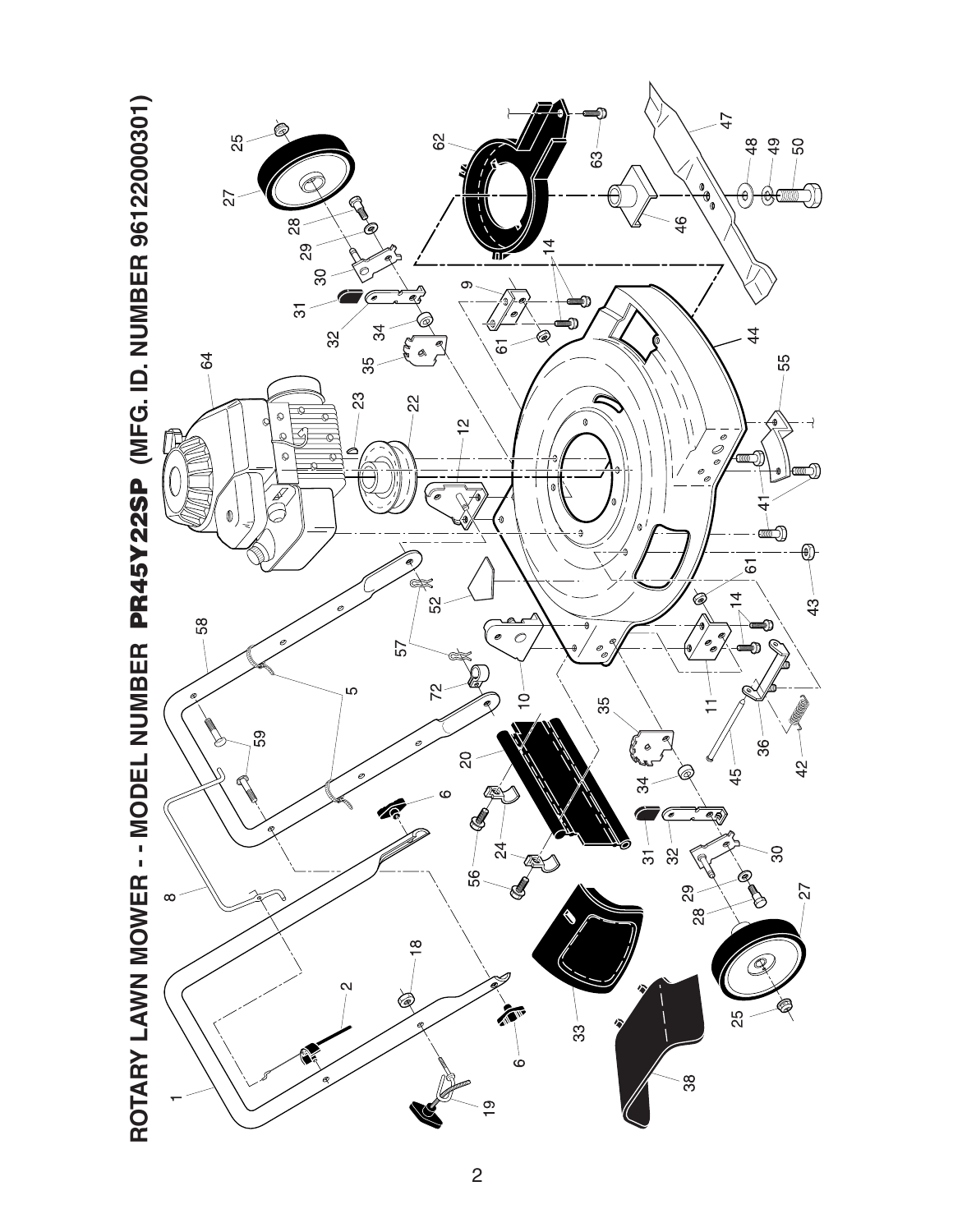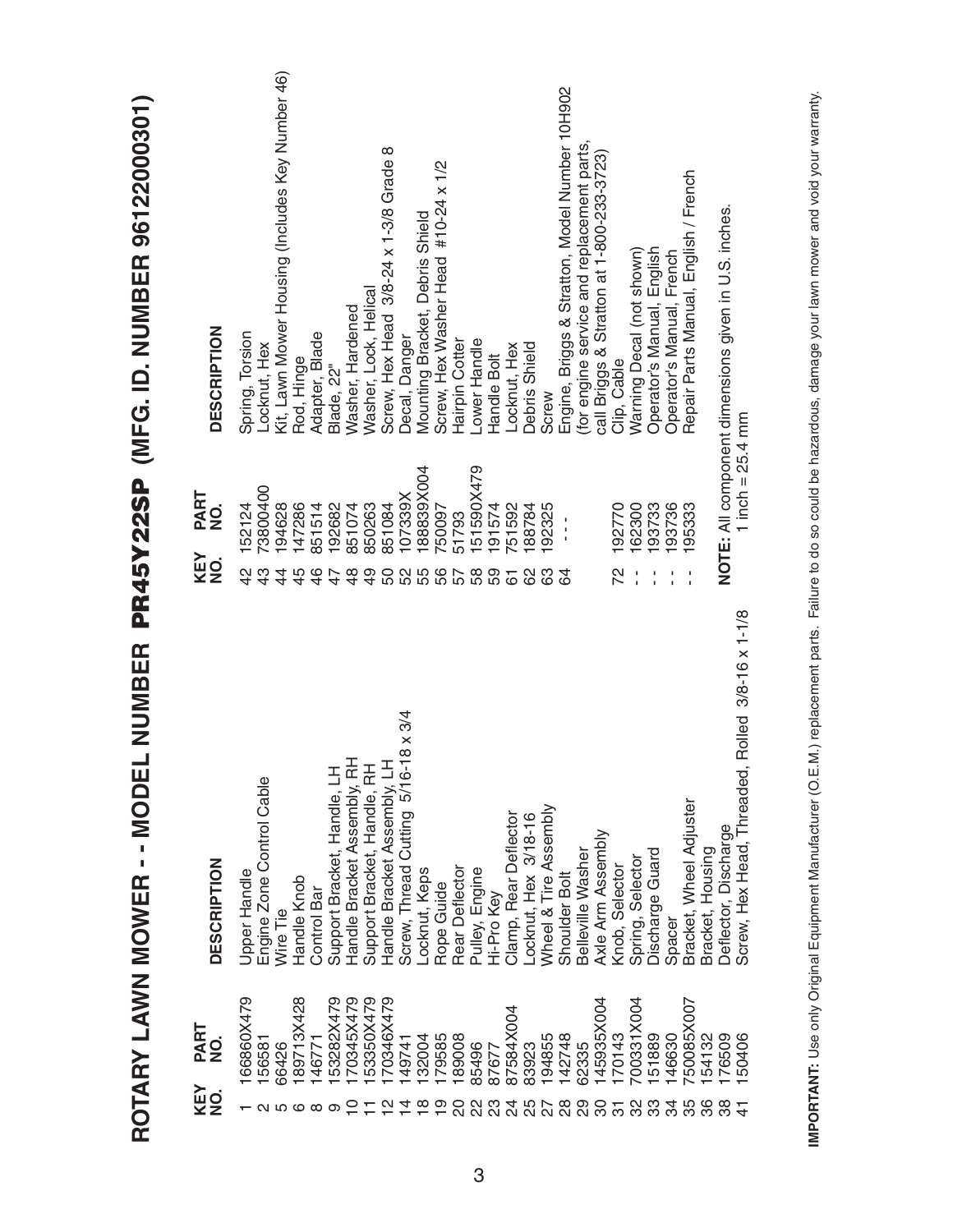| $\frac{1}{2}$                 |
|-------------------------------|
|                               |
|                               |
|                               |
|                               |
|                               |
|                               |
|                               |
|                               |
|                               |
|                               |
|                               |
| I                             |
| ĺ                             |
|                               |
| ֧֡֕֓ <u>׀</u>                 |
|                               |
|                               |
|                               |
|                               |
|                               |
|                               |
|                               |
|                               |
|                               |
| in an an                      |
|                               |
| Í                             |
|                               |
| $\frac{1}{1}$                 |
|                               |
| ļ                             |
|                               |
|                               |
|                               |
| $\frac{1}{2}$                 |
|                               |
|                               |
|                               |
|                               |
|                               |
|                               |
|                               |
|                               |
|                               |
|                               |
|                               |
|                               |
|                               |
|                               |
| l                             |
|                               |
|                               |
|                               |
|                               |
|                               |
|                               |
|                               |
|                               |
|                               |
|                               |
|                               |
|                               |
|                               |
|                               |
|                               |
|                               |
|                               |
|                               |
|                               |
|                               |
|                               |
|                               |
|                               |
|                               |
|                               |
|                               |
| Ù                             |
|                               |
| l                             |
|                               |
|                               |
| $\overline{\mathbf{C}}$       |
|                               |
| I                             |
|                               |
|                               |
|                               |
| $\frac{1}{1}$                 |
|                               |
|                               |
|                               |
| ׆<br>ا                        |
|                               |
|                               |
|                               |
|                               |
|                               |
|                               |
|                               |
|                               |
|                               |
|                               |
|                               |
|                               |
|                               |
|                               |
|                               |
|                               |
|                               |
|                               |
|                               |
|                               |
|                               |
|                               |
| l                             |
|                               |
|                               |
|                               |
|                               |
| <b>POTARY I AV</b><br>์<br>วั |

| <b>DESCRIPTION</b>        | Spring, Torsion<br>Locknut, Hex           | Kit, Lawn Mower Housing (Includes Key Number 46) | Rod, Hinge  | Adapter, Blade          | Blade, 22"                  | Washer, Hardened            | Washer, Lock, Helical       | Screw, Hex Head 3/8-24 x 1-3/8 Grade 8 | Decal, Danger                       | Mounting Bracket, Debris Shield | Screw, Hex Washer Head #10-24 x 1/2 | Hairpin Cotter | Lower Handle     | Handle Bolt | Locknut, Hex                | Debris Shield        | Screw                 | Engine, Briggs & Stratton, Model Number 10H902 | (for engine service and replacement parts, | call Briggs & Stratton at 1-800-233-3723) | Clip, Cable    | Warning Decal (not shown) | Operator's Manual, English | Operator's Manual, French | Repair Parts Manual, English / French |                  | NOTE: All component dimensions given in U.S. inches. |                                                     |
|---------------------------|-------------------------------------------|--------------------------------------------------|-------------|-------------------------|-----------------------------|-----------------------------|-----------------------------|----------------------------------------|-------------------------------------|---------------------------------|-------------------------------------|----------------|------------------|-------------|-----------------------------|----------------------|-----------------------|------------------------------------------------|--------------------------------------------|-------------------------------------------|----------------|---------------------------|----------------------------|---------------------------|---------------------------------------|------------------|------------------------------------------------------|-----------------------------------------------------|
| PART<br>NO.<br>KEY<br>NO. | 73800400<br>52124<br>43<br>42             | 94628<br>$\overline{4}$                          | 147286      | 851514<br>$\frac{6}{4}$ | 192682<br>47                | 851074<br>$\frac{8}{4}$     | 850263<br>$\frac{6}{7}$     | 851084<br>50                           | 107339X<br>52                       | 188839X004<br>55                | 750097<br>56                        | 51793<br>57    | 151590X479<br>58 | 91574       | 51592<br>ত<br>ত             | 88784                | 92325<br>යි           | र्ड                                            |                                            |                                           | 192770<br>72   | 162300                    | 193733                     | 193736                    | 195333<br>٠                           |                  |                                                      | 1 inch = $25.4$ mm                                  |
| <b>DESCRIPTION</b>        | Engine Zone Control Cable<br>Upper Handle | Wire Tie                                         | Handle Knob | Control Bar             | Support Bracket, Handle, LH | Handle Bracket Assembly, RH | Support Bracket, Handle, RH | Handle Bracket Assembly, LH            | Screw, Thread Cutting 5/16-18 x 3/4 | Locknut, Keps                   | Rope Guide                          | Rear Deflector | Pulley, Engine   | Hi-Pro Key  | Clamp, Rear Deflector       | Locknut, Hex 3/18-16 | Wheel & Tire Assembly | Shoulder Bolt                                  | Belleville<br>Washer                       | Axle Arm Assembly                         | Knob, Selector | Spring, Selector          | Discharge Guard            | Spacer                    | Bracket, Wheel Adjuster               | Bracket, Housing | Deflector, Discharge                                 | Rolled 3/8-16 x 1-1/8<br>Screw, Hex Head, Threaded, |
| PART<br>NO.<br>KEY<br>NO. | 66860X479<br>156581                       | 66426                                            | 89713X428   | 46771                   | 53282X479                   | 70345X479                   | 53350X479                   | 70346X479                              | 149741                              | 32004                           | 79585                               | 89008          | 85496<br>22      | 87677<br>ಬಿ | 87584X004<br>$\overline{6}$ | 83923<br>25<br>25    | 194855                | 42748                                          | 62335<br>89                                | 145935X004<br>္က                          | 70143<br>က     | 00331X004                 | 51889                      | 46630                     | 50085X007<br>35                       | 54132<br>36      | 76509                                                | 50406                                               |

IMPORTANT: Use only Original Equipment Manufacturer (O.E.M.) replacement parts. Failure to do so could be hazardous, damage your lawn mower and void your warranty. **IMPORTANT:** Use only Original Equipment Manufacturer (O.E.M.) replacement parts. Failure to do so could be hazardous, damage your lawn mower and void your warranty.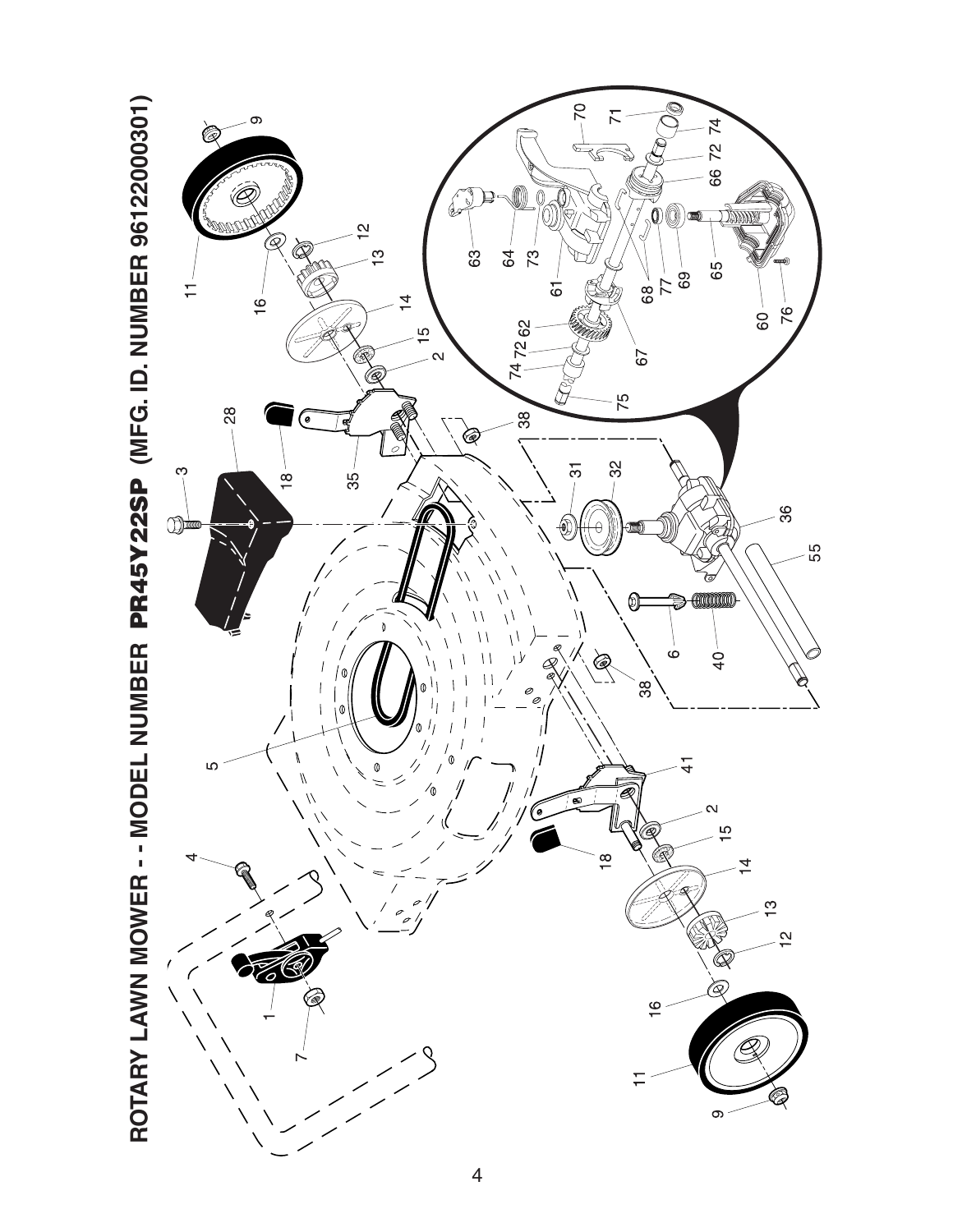